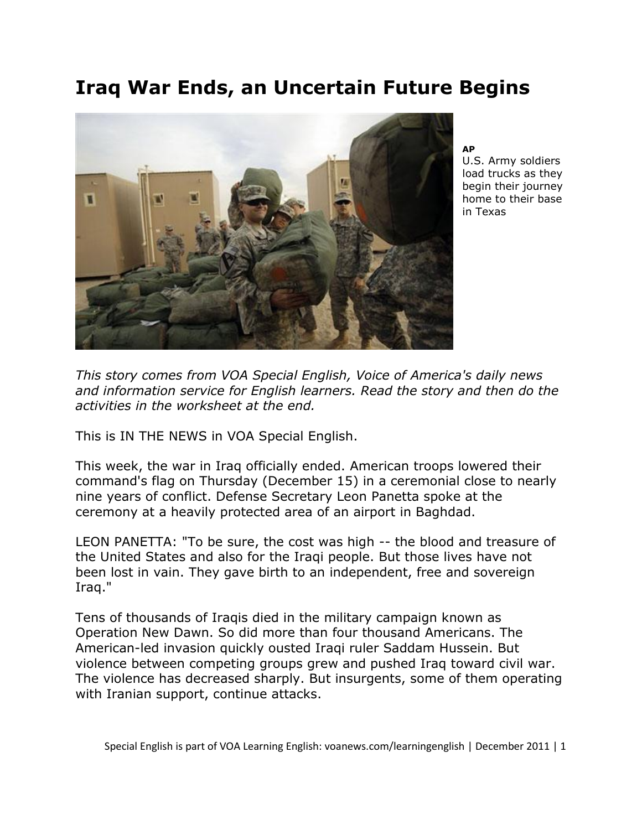# **Iraq War Ends, an Uncertain Future Begins**



**AP**

U.S. Army soldiers load trucks as they begin their journey home to their base in Texas

*This story comes from VOA Special English, Voice of America's daily news and information service for English learners. Read the story and then do the activities in the worksheet at the end.* 

This is IN THE NEWS in VOA Special English.

This week, the war in Iraq officially ended. American troops lowered their command's flag on Thursday (December 15) in a ceremonial close to nearly nine years of conflict. Defense Secretary Leon Panetta spoke at the ceremony at a heavily protected area of an airport in Baghdad.

LEON PANETTA: "To be sure, the cost was high -- the blood and treasure of the United States and also for the Iraqi people. But those lives have not been lost in vain. They gave birth to an independent, free and sovereign Iraq."

Tens of thousands of Iraqis died in the military campaign known as Operation New Dawn. So did more than four thousand Americans. The American-led invasion quickly ousted Iraqi ruler Saddam Hussein. But violence between competing groups grew and pushed Iraq toward civil war. The violence has decreased sharply. But insurgents, some of them operating with Iranian support, continue attacks.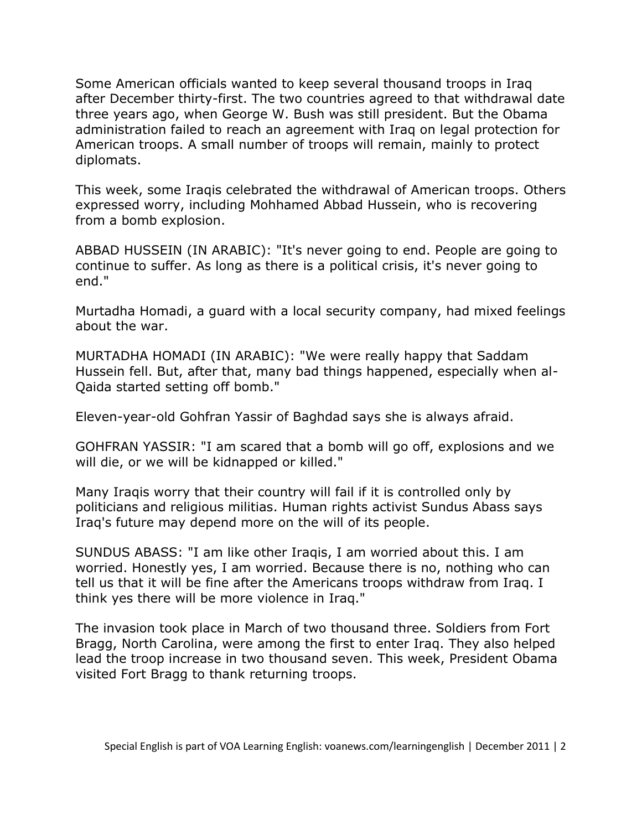Some American officials wanted to keep several thousand troops in Iraq after December thirty-first. The two countries agreed to that withdrawal date three years ago, when George W. Bush was still president. But the Obama administration failed to reach an agreement with Iraq on legal protection for American troops. A small number of troops will remain, mainly to protect diplomats.

This week, some Iraqis celebrated the withdrawal of American troops. Others expressed worry, including Mohhamed Abbad Hussein, who is recovering from a bomb explosion.

ABBAD HUSSEIN (IN ARABIC): "It's never going to end. People are going to continue to suffer. As long as there is a political crisis, it's never going to end."

Murtadha Homadi, a guard with a local security company, had mixed feelings about the war.

MURTADHA HOMADI (IN ARABIC): "We were really happy that Saddam Hussein fell. But, after that, many bad things happened, especially when al-Qaida started setting off bomb."

Eleven-year-old Gohfran Yassir of Baghdad says she is always afraid.

GOHFRAN YASSIR: "I am scared that a bomb will go off, explosions and we will die, or we will be kidnapped or killed."

Many Iraqis worry that their country will fail if it is controlled only by politicians and religious militias. Human rights activist Sundus Abass says Iraq's future may depend more on the will of its people.

SUNDUS ABASS: "I am like other Iraqis, I am worried about this. I am worried. Honestly yes, I am worried. Because there is no, nothing who can tell us that it will be fine after the Americans troops withdraw from Iraq. I think yes there will be more violence in Iraq."

The invasion took place in March of two thousand three. Soldiers from Fort Bragg, North Carolina, were among the first to enter Iraq. They also helped lead the troop increase in two thousand seven. This week, President Obama visited Fort Bragg to thank returning troops.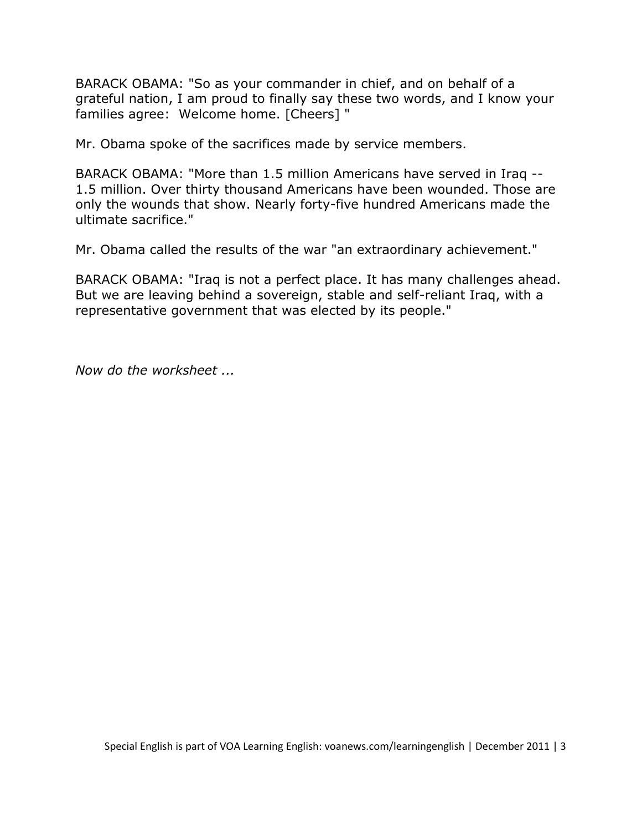BARACK OBAMA: "So as your commander in chief, and on behalf of a grateful nation, I am proud to finally say these two words, and I know your families agree: Welcome home. [Cheers] "

Mr. Obama spoke of the sacrifices made by service members.

BARACK OBAMA: "More than 1.5 million Americans have served in Iraq -- 1.5 million. Over thirty thousand Americans have been wounded. Those are only the wounds that show. Nearly forty-five hundred Americans made the ultimate sacrifice."

Mr. Obama called the results of the war "an extraordinary achievement."

BARACK OBAMA: "Iraq is not a perfect place. It has many challenges ahead. But we are leaving behind a sovereign, stable and self-reliant Iraq, with a representative government that was elected by its people."

*Now do the worksheet ...*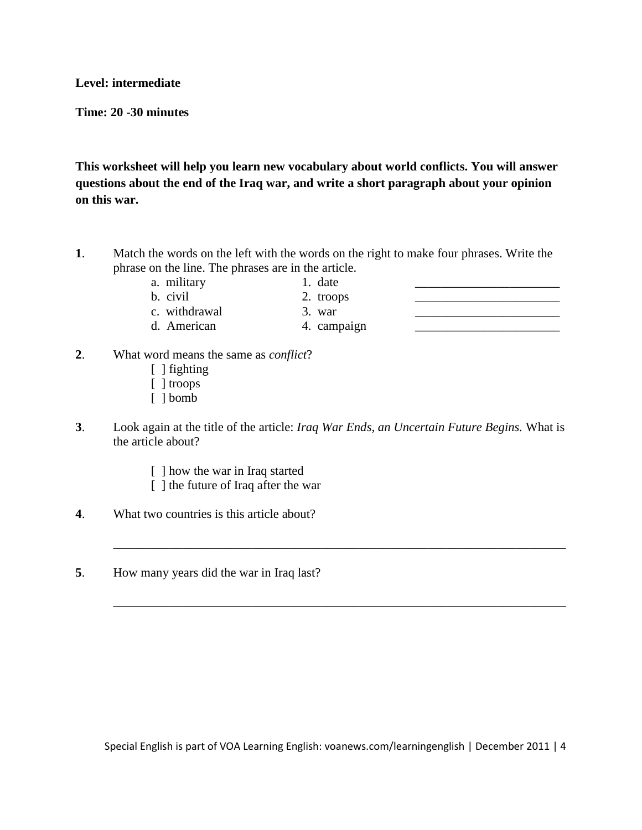#### **Level: intermediate**

**Time: 20 -30 minutes**

**This worksheet will help you learn new vocabulary about world conflicts. You will answer questions about the end of the Iraq war, and write a short paragraph about your opinion on this war.**

- **1**. Match the words on the left with the words on the right to make four phrases. Write the phrase on the line. The phrases are in the article.
	- a. military 1. date
- - b. civil  $\sim$  2. troops
- 

- c. withdrawal 3. war d. American 4. campaign \_\_\_\_\_\_\_\_\_\_\_\_\_\_\_\_\_\_\_\_\_\_\_
	-
- **2**. What word means the same as *conflict*?
	- [ ] fighting
	- [ ] troops
	- [ ] bomb
- **3**. Look again at the title of the article: *Iraq War Ends, an Uncertain Future Begins.* What is the article about?

\_\_\_\_\_\_\_\_\_\_\_\_\_\_\_\_\_\_\_\_\_\_\_\_\_\_\_\_\_\_\_\_\_\_\_\_\_\_\_\_\_\_\_\_\_\_\_\_\_\_\_\_\_\_\_\_\_\_\_\_\_\_\_\_\_\_\_\_\_\_\_\_

\_\_\_\_\_\_\_\_\_\_\_\_\_\_\_\_\_\_\_\_\_\_\_\_\_\_\_\_\_\_\_\_\_\_\_\_\_\_\_\_\_\_\_\_\_\_\_\_\_\_\_\_\_\_\_\_\_\_\_\_\_\_\_\_\_\_\_\_\_\_\_\_

- [ ] how the war in Iraq started
- [ ] the future of Iraq after the war
- **4**. What two countries is this article about?
- **5**. How many years did the war in Iraq last?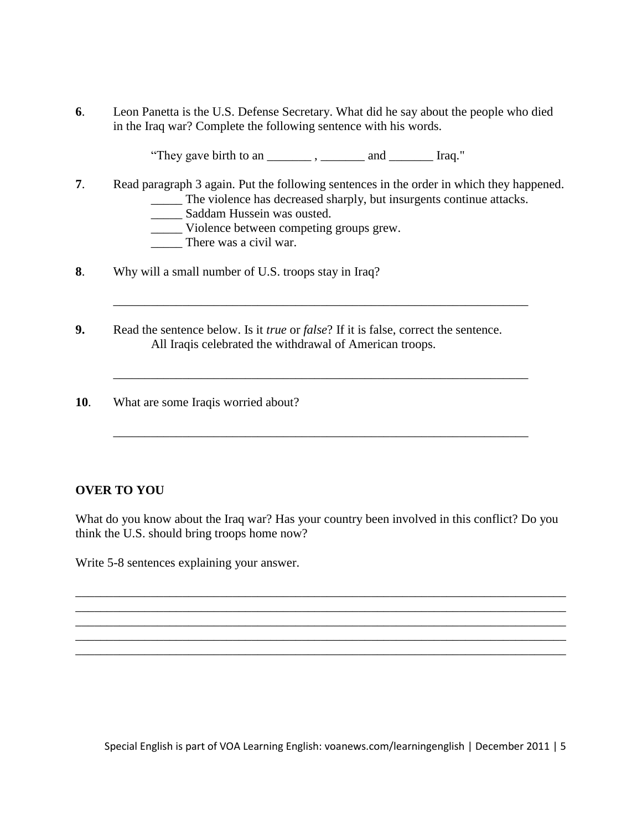**6**. Leon Panetta is the U.S. Defense Secretary. What did he say about the people who died in the Iraq war? Complete the following sentence with his words.

"They gave birth to an \_\_\_\_\_\_\_ , \_\_\_\_\_\_\_ and \_\_\_\_\_\_\_ Iraq."

**7**. Read paragraph 3 again. Put the following sentences in the order in which they happened. \_\_\_\_\_ The violence has decreased sharply, but insurgents continue attacks.

\_\_\_\_\_\_\_\_\_\_\_\_\_\_\_\_\_\_\_\_\_\_\_\_\_\_\_\_\_\_\_\_\_\_\_\_\_\_\_\_\_\_\_\_\_\_\_\_\_\_\_\_\_\_\_\_\_\_\_\_\_\_\_\_\_\_

\_\_\_\_\_\_\_\_\_\_\_\_\_\_\_\_\_\_\_\_\_\_\_\_\_\_\_\_\_\_\_\_\_\_\_\_\_\_\_\_\_\_\_\_\_\_\_\_\_\_\_\_\_\_\_\_\_\_\_\_\_\_\_\_\_\_

\_\_\_\_\_\_\_\_\_\_\_\_\_\_\_\_\_\_\_\_\_\_\_\_\_\_\_\_\_\_\_\_\_\_\_\_\_\_\_\_\_\_\_\_\_\_\_\_\_\_\_\_\_\_\_\_\_\_\_\_\_\_\_\_\_\_

- \_\_\_\_\_ Saddam Hussein was ousted.
- \_\_\_\_\_ Violence between competing groups grew.
- \_\_\_\_\_ There was a civil war.
- **8**. Why will a small number of U.S. troops stay in Iraq?
- **9.** Read the sentence below. Is it *true* or *false*? If it is false, correct the sentence. All Iraqis celebrated the withdrawal of American troops.
- **10**. What are some Iraqis worried about?

## **OVER TO YOU**

What do you know about the Iraq war? Has your country been involved in this conflict? Do you think the U.S. should bring troops home now?

\_\_\_\_\_\_\_\_\_\_\_\_\_\_\_\_\_\_\_\_\_\_\_\_\_\_\_\_\_\_\_\_\_\_\_\_\_\_\_\_\_\_\_\_\_\_\_\_\_\_\_\_\_\_\_\_\_\_\_\_\_\_\_\_\_\_\_\_\_\_\_\_\_\_\_\_\_\_ \_\_\_\_\_\_\_\_\_\_\_\_\_\_\_\_\_\_\_\_\_\_\_\_\_\_\_\_\_\_\_\_\_\_\_\_\_\_\_\_\_\_\_\_\_\_\_\_\_\_\_\_\_\_\_\_\_\_\_\_\_\_\_\_\_\_\_\_\_\_\_\_\_\_\_\_\_\_ \_\_\_\_\_\_\_\_\_\_\_\_\_\_\_\_\_\_\_\_\_\_\_\_\_\_\_\_\_\_\_\_\_\_\_\_\_\_\_\_\_\_\_\_\_\_\_\_\_\_\_\_\_\_\_\_\_\_\_\_\_\_\_\_\_\_\_\_\_\_\_\_\_\_\_\_\_\_ \_\_\_\_\_\_\_\_\_\_\_\_\_\_\_\_\_\_\_\_\_\_\_\_\_\_\_\_\_\_\_\_\_\_\_\_\_\_\_\_\_\_\_\_\_\_\_\_\_\_\_\_\_\_\_\_\_\_\_\_\_\_\_\_\_\_\_\_\_\_\_\_\_\_\_\_\_\_ \_\_\_\_\_\_\_\_\_\_\_\_\_\_\_\_\_\_\_\_\_\_\_\_\_\_\_\_\_\_\_\_\_\_\_\_\_\_\_\_\_\_\_\_\_\_\_\_\_\_\_\_\_\_\_\_\_\_\_\_\_\_\_\_\_\_\_\_\_\_\_\_\_\_\_\_\_\_

Write 5-8 sentences explaining your answer.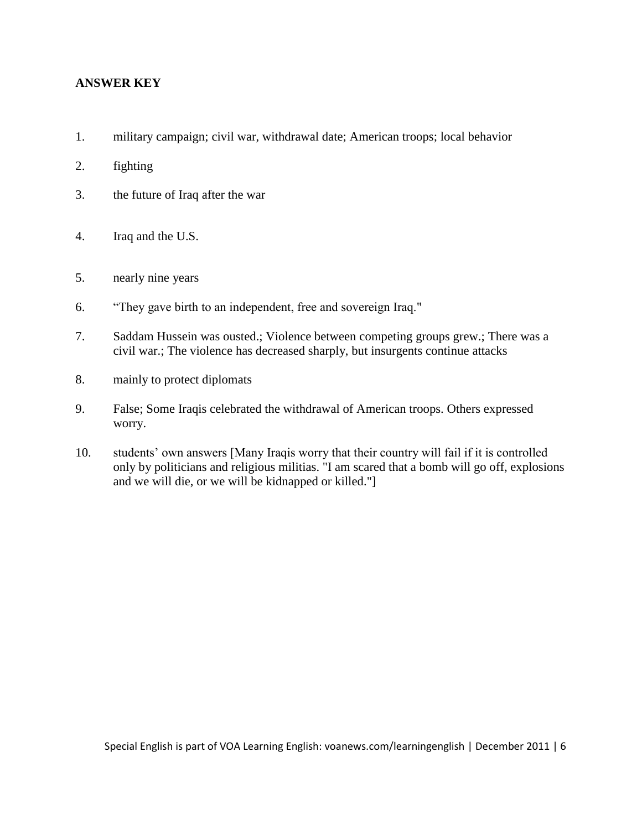### **ANSWER KEY**

- 1. military campaign; civil war, withdrawal date; American troops; local behavior
- 2. fighting
- 3. the future of Iraq after the war
- 4. Iraq and the U.S.
- 5. nearly nine years
- 6. "They gave birth to an independent, free and sovereign Iraq."
- 7. Saddam Hussein was ousted.; Violence between competing groups grew.; There was a civil war.; The violence has decreased sharply, but insurgents continue attacks
- 8. mainly to protect diplomats
- 9. False; Some Iraqis celebrated the withdrawal of American troops. Others expressed worry.
- 10. students' own answers [Many Iraqis worry that their country will fail if it is controlled only by politicians and religious militias. "I am scared that a bomb will go off, explosions and we will die, or we will be kidnapped or killed."]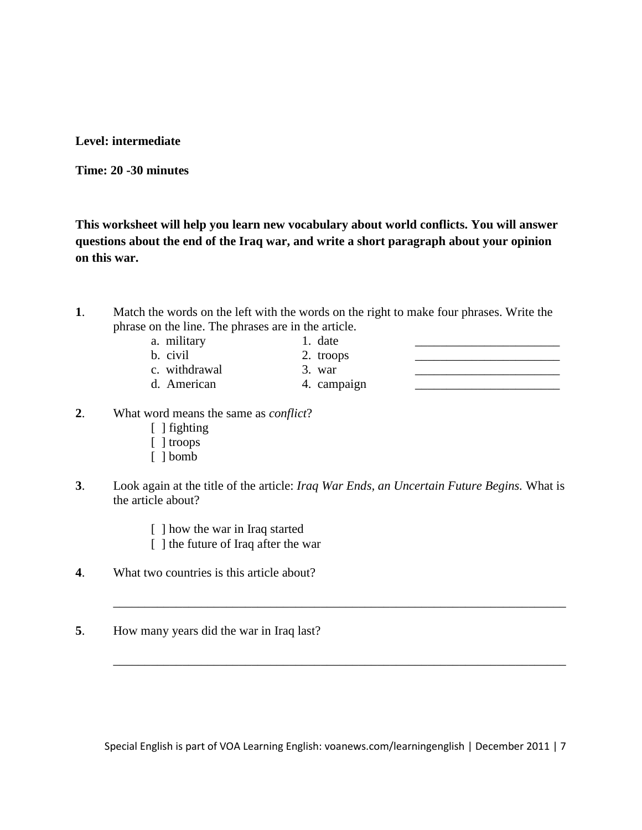**Level: intermediate** 

**Time: 20 -30 minutes**

**This worksheet will help you learn new vocabulary about world conflicts. You will answer questions about the end of the Iraq war, and write a short paragraph about your opinion on this war.**

**1**. Match the words on the left with the words on the right to make four phrases. Write the phrase on the line. The phrases are in the article.

| a. military   |   | 1. date    |  |
|---------------|---|------------|--|
| b. civil      |   | 2. troops  |  |
| c. withdrawal |   | 3. war     |  |
| d American    | 4 | . camnaion |  |

d. American 1. campaign

- **2**. What word means the same as *conflict*?
	- [ ] fighting
	- [ ] troops
	- [ ] bomb
- **3**. Look again at the title of the article: *Iraq War Ends, an Uncertain Future Begins.* What is the article about?
	- [ ] how the war in Iraq started
	- [ ] the future of Iraq after the war
- **4**. What two countries is this article about?
- **5**. How many years did the war in Iraq last?

Special English is part of VOA Learning English: voanews.com/learningenglish | December 2011 | 7

\_\_\_\_\_\_\_\_\_\_\_\_\_\_\_\_\_\_\_\_\_\_\_\_\_\_\_\_\_\_\_\_\_\_\_\_\_\_\_\_\_\_\_\_\_\_\_\_\_\_\_\_\_\_\_\_\_\_\_\_\_\_\_\_\_\_\_\_\_\_\_\_

\_\_\_\_\_\_\_\_\_\_\_\_\_\_\_\_\_\_\_\_\_\_\_\_\_\_\_\_\_\_\_\_\_\_\_\_\_\_\_\_\_\_\_\_\_\_\_\_\_\_\_\_\_\_\_\_\_\_\_\_\_\_\_\_\_\_\_\_\_\_\_\_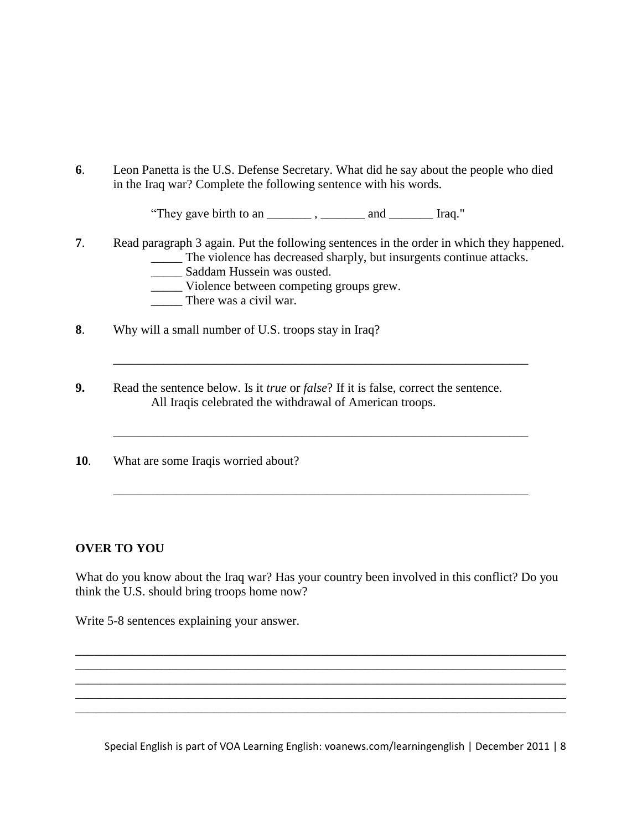**6**. Leon Panetta is the U.S. Defense Secretary. What did he say about the people who died in the Iraq war? Complete the following sentence with his words.

"They gave birth to an \_\_\_\_\_\_\_ , \_\_\_\_\_\_\_ and \_\_\_\_\_\_\_ Iraq."

**7**. Read paragraph 3 again. Put the following sentences in the order in which they happened. \_\_\_\_\_ The violence has decreased sharply, but insurgents continue attacks.

\_\_\_\_\_\_\_\_\_\_\_\_\_\_\_\_\_\_\_\_\_\_\_\_\_\_\_\_\_\_\_\_\_\_\_\_\_\_\_\_\_\_\_\_\_\_\_\_\_\_\_\_\_\_\_\_\_\_\_\_\_\_\_\_\_\_

\_\_\_\_\_\_\_\_\_\_\_\_\_\_\_\_\_\_\_\_\_\_\_\_\_\_\_\_\_\_\_\_\_\_\_\_\_\_\_\_\_\_\_\_\_\_\_\_\_\_\_\_\_\_\_\_\_\_\_\_\_\_\_\_\_\_

\_\_\_\_\_\_\_\_\_\_\_\_\_\_\_\_\_\_\_\_\_\_\_\_\_\_\_\_\_\_\_\_\_\_\_\_\_\_\_\_\_\_\_\_\_\_\_\_\_\_\_\_\_\_\_\_\_\_\_\_\_\_\_\_\_\_

- \_\_\_\_\_ Saddam Hussein was ousted.
- \_\_\_\_\_ Violence between competing groups grew.
- \_\_\_\_\_ There was a civil war.
- **8**. Why will a small number of U.S. troops stay in Iraq?
- **9.** Read the sentence below. Is it *true* or *false*? If it is false, correct the sentence. All Iraqis celebrated the withdrawal of American troops.
- **10**. What are some Iraqis worried about?

#### **OVER TO YOU**

What do you know about the Iraq war? Has your country been involved in this conflict? Do you think the U.S. should bring troops home now?

\_\_\_\_\_\_\_\_\_\_\_\_\_\_\_\_\_\_\_\_\_\_\_\_\_\_\_\_\_\_\_\_\_\_\_\_\_\_\_\_\_\_\_\_\_\_\_\_\_\_\_\_\_\_\_\_\_\_\_\_\_\_\_\_\_\_\_\_\_\_\_\_\_\_\_\_\_\_ \_\_\_\_\_\_\_\_\_\_\_\_\_\_\_\_\_\_\_\_\_\_\_\_\_\_\_\_\_\_\_\_\_\_\_\_\_\_\_\_\_\_\_\_\_\_\_\_\_\_\_\_\_\_\_\_\_\_\_\_\_\_\_\_\_\_\_\_\_\_\_\_\_\_\_\_\_\_

\_\_\_\_\_\_\_\_\_\_\_\_\_\_\_\_\_\_\_\_\_\_\_\_\_\_\_\_\_\_\_\_\_\_\_\_\_\_\_\_\_\_\_\_\_\_\_\_\_\_\_\_\_\_\_\_\_\_\_\_\_\_\_\_\_\_\_\_\_\_\_\_\_\_\_\_\_\_ \_\_\_\_\_\_\_\_\_\_\_\_\_\_\_\_\_\_\_\_\_\_\_\_\_\_\_\_\_\_\_\_\_\_\_\_\_\_\_\_\_\_\_\_\_\_\_\_\_\_\_\_\_\_\_\_\_\_\_\_\_\_\_\_\_\_\_\_\_\_\_\_\_\_\_\_\_\_

Write 5-8 sentences explaining your answer.

Special English is part of VOA Learning English: voanews.com/learningenglish | December 2011 | 8